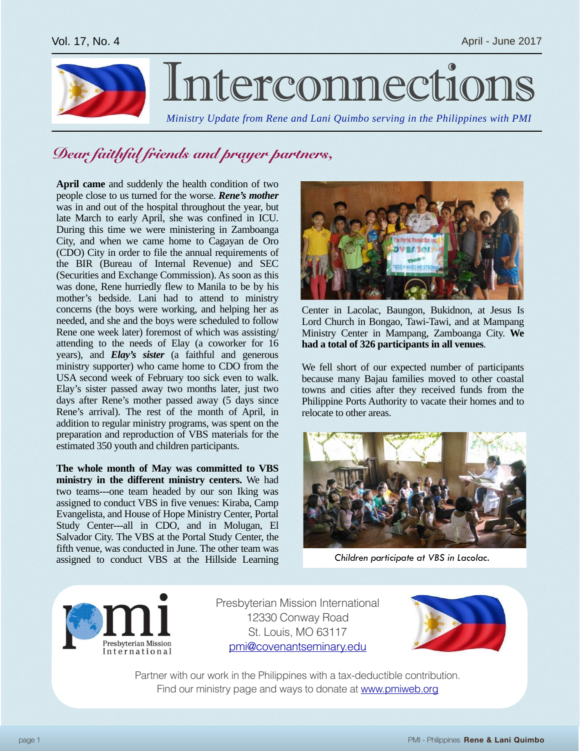

# Interconnection

*Ministry Update from Rene and Lani Quimbo serving in the Philippines with PMI*

### *Dear faithful friends and prayer partners,*

**April came** and suddenly the health condition of two people close to us turned for the worse. *Rene's mother* was in and out of the hospital throughout the year, but late March to early April, she was confined in ICU. During this time we were ministering in Zamboanga City, and when we came home to Cagayan de Oro (CDO) City in order to file the annual requirements of the BIR (Bureau of Internal Revenue) and SEC (Securities and Exchange Commission). As soon as this was done, Rene hurriedly flew to Manila to be by his mother's bedside. Lani had to attend to ministry concerns (the boys were working, and helping her as needed, and she and the boys were scheduled to follow Rene one week later) foremost of which was assisting/ attending to the needs of Elay (a coworker for 16 years), and *Elay's sister* (a faithful and generous ministry supporter) who came home to CDO from the USA second week of February too sick even to walk. Elay's sister passed away two months later, just two days after Rene's mother passed away (5 days since Rene's arrival). The rest of the month of April, in addition to regular ministry programs, was spent on the preparation and reproduction of VBS materials for the estimated 350 youth and children participants.

**The whole month of May was committed to VBS ministry in the different ministry centers.** We had two teams---one team headed by our son Iking was assigned to conduct VBS in five venues: Kiraba, Camp Evangelista, and House of Hope Ministry Center, Portal Study Center---all in CDO, and in Molugan, El Salvador City. The VBS at the Portal Study Center, the fifth venue, was conducted in June. The other team was assigned to conduct VBS at the Hillside Learning



Center in Lacolac, Baungon, Bukidnon, at Jesus Is Lord Church in Bongao, Tawi-Tawi, and at Mampang Ministry Center in Mampang, Zamboanga City. **We had a total of 326 participants in all venues**.

We fell short of our expected number of participants because many Bajau families moved to other coastal towns and cities after they received funds from the Philippine Ports Authority to vacate their homes and to relocate to other areas.



*Children participate at VBS in Lacolac.*



Presbyterian Mission International 12330 Conway Road St. Louis, MO 63117 [pmi@covenantseminary.edu](mailto:pmi@covenantseminary.edu)



Partner with our work in the Philippines with a tax-deductible contribution. Find our ministry page and ways to donate at [www.pmiweb.org](http://www.pmiweb.org)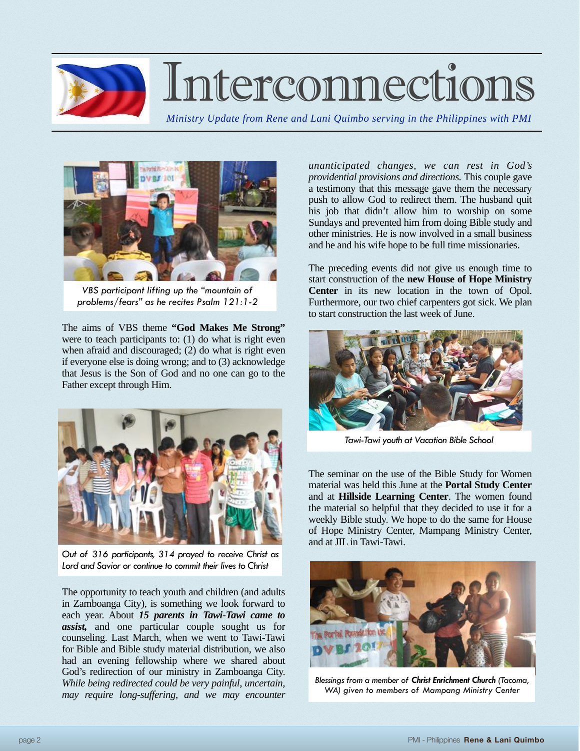

## Interconnections

*Ministry Update from Rene and Lani Quimbo serving in the Philippines with PMI*



*VBS participant lifting up the "mountain of problems/fears" as he recites Psalm 121:1-2*

The aims of VBS theme **"God Makes Me Strong"** were to teach participants to: (1) do what is right even when afraid and discouraged; (2) do what is right even if everyone else is doing wrong; and to (3) acknowledge that Jesus is the Son of God and no one can go to the Father except through Him.



*Out of 316 participants, 314 prayed to receive Christ as Lord and Savior or continue to commit their lives to Christ*

The opportunity to teach youth and children (and adults in Zamboanga City), is something we look forward to each year. About *15 parents in Tawi-Tawi came to assist,* and one particular couple sought us for counseling. Last March, when we went to Tawi-Tawi for Bible and Bible study material distribution, we also had an evening fellowship where we shared about God's redirection of our ministry in Zamboanga City. *While being redirected could be very painful, uncertain,*  may require long-suffering, and we may encounter

*unanticipated changes, we can rest in God's providential provisions and directions.* This couple gave a testimony that this message gave them the necessary push to allow God to redirect them. The husband quit his job that didn't allow him to worship on some Sundays and prevented him from doing Bible study and other ministries. He is now involved in a small business and he and his wife hope to be full time missionaries.

The preceding events did not give us enough time to start construction of the **new House of Hope Ministry Center** in its new location in the town of Opol. Furthermore, our two chief carpenters got sick. We plan to start construction the last week of June.



*Tawi-Tawi youth at Vacation Bible School*

The seminar on the use of the Bible Study for Women material was held this June at the **Portal Study Center** and at **Hillside Learning Center**. The women found the material so helpful that they decided to use it for a weekly Bible study. We hope to do the same for House of Hope Ministry Center, Mampang Ministry Center, and at JIL in Tawi-Tawi.



*Blessings from a member of Christ Enrichment Church (Tacoma, WA) given to members of Mampang Ministry Center*